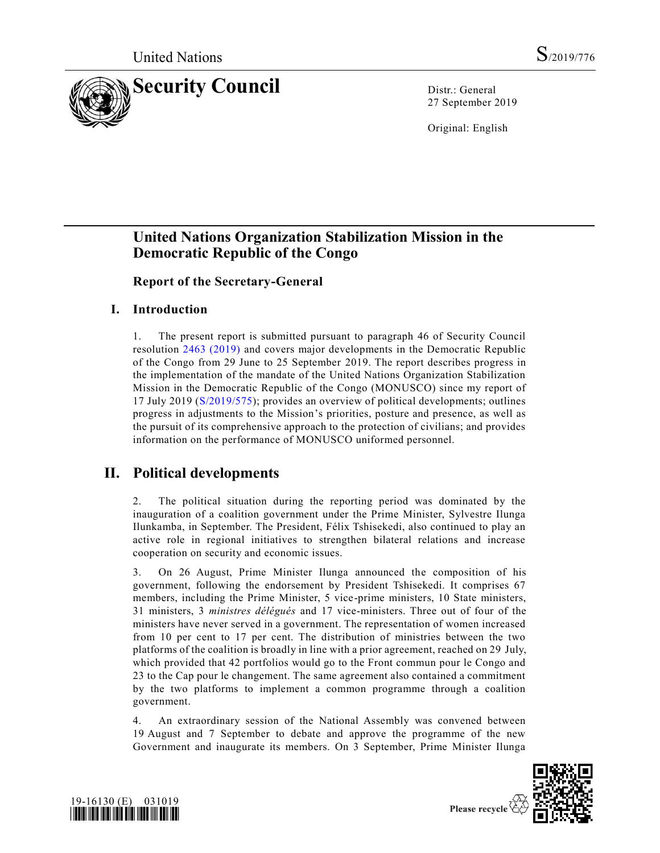

27 September 2019

Original: English

# **United Nations Organization Stabilization Mission in the Democratic Republic of the Congo**

**Report of the Secretary-General**

## **I. Introduction**

1. The present report is submitted pursuant to paragraph 46 of Security Council resolution [2463 \(2019\)](https://undocs.org/en/A/RES/2463%20(2019)) and covers major developments in the Democratic Republic of the Congo from 29 June to 25 September 2019. The report describes progress in the implementation of the mandate of the United Nations Organization Stabilization Mission in the Democratic Republic of the Congo (MONUSCO) since my report of 17 July 2019 [\(S/2019/575\)](https://undocs.org/en/S/2019/575); provides an overview of political developments; outlines progress in adjustments to the Mission's priorities, posture and presence, as well as the pursuit of its comprehensive approach to the protection of civilians; and provides information on the performance of MONUSCO uniformed personnel.

# **II. Political developments**

2. The political situation during the reporting period was dominated by the inauguration of a coalition government under the Prime Minister, Sylvestre Ilunga Ilunkamba, in September. The President, Félix Tshisekedi, also continued to play an active role in regional initiatives to strengthen bilateral relations and increase cooperation on security and economic issues.

3. On 26 August, Prime Minister Ilunga announced the composition of his government, following the endorsement by President Tshisekedi. It comprises 67 members, including the Prime Minister, 5 vice-prime ministers, 10 State ministers, 31 ministers, 3 *ministres délégués* and 17 vice-ministers. Three out of four of the ministers have never served in a government. The representation of women increased from 10 per cent to 17 per cent. The distribution of ministries between the two platforms of the coalition is broadly in line with a prior agreement, reached on 29 July, which provided that 42 portfolios would go to the Front commun pour le Congo and 23 to the Cap pour le changement. The same agreement also contained a commitment by the two platforms to implement a common programme through a coalition government.

4. An extraordinary session of the National Assembly was convened between 19 August and 7 September to debate and approve the programme of the new Government and inaugurate its members. On 3 September, Prime Minister Ilunga



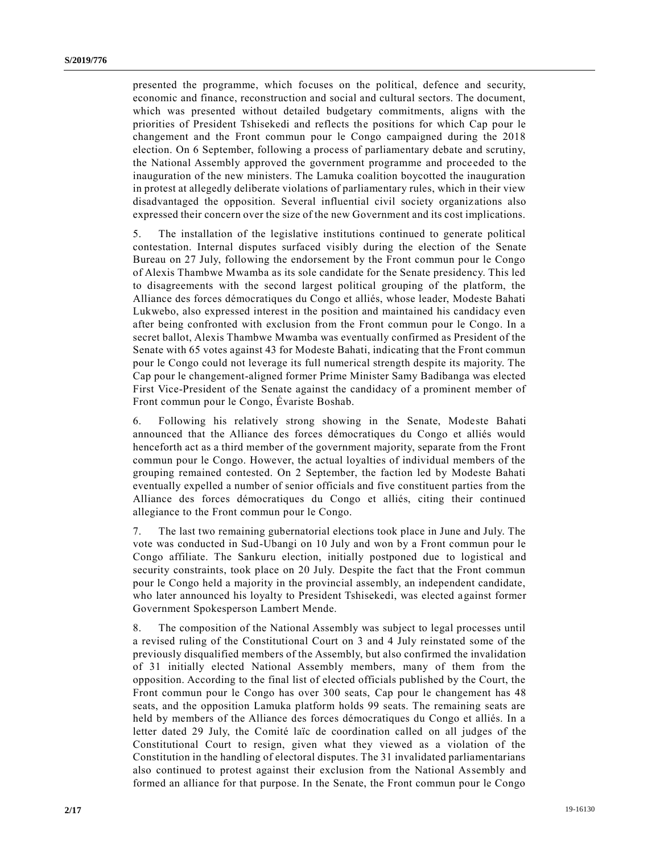presented the programme, which focuses on the political, defence and security, economic and finance, reconstruction and social and cultural sectors. The document, which was presented without detailed budgetary commitments, aligns with the priorities of President Tshisekedi and reflects the positions for which Cap pour le changement and the Front commun pour le Congo campaigned during the 2018 election. On 6 September, following a process of parliamentary debate and scrutiny, the National Assembly approved the government programme and proceeded to the inauguration of the new ministers. The Lamuka coalition boycotted the inauguration in protest at allegedly deliberate violations of parliamentary rules, which in their view disadvantaged the opposition. Several influential civil society organiz ations also expressed their concern over the size of the new Government and its cost implications.

5. The installation of the legislative institutions continued to generate political contestation. Internal disputes surfaced visibly during the election of the Senate Bureau on 27 July, following the endorsement by the Front commun pour le Congo of Alexis Thambwe Mwamba as its sole candidate for the Senate presidency. This led to disagreements with the second largest political grouping of the platform, the Alliance des forces démocratiques du Congo et alliés, whose leader, Modeste Bahati Lukwebo, also expressed interest in the position and maintained his candidacy even after being confronted with exclusion from the Front commun pour le Congo. In a secret ballot, Alexis Thambwe Mwamba was eventually confirmed as President of the Senate with 65 votes against 43 for Modeste Bahati, indicating that the Front commun pour le Congo could not leverage its full numerical strength despite its majority. The Cap pour le changement-aligned former Prime Minister Samy Badibanga was elected First Vice-President of the Senate against the candidacy of a prominent member of Front commun pour le Congo, Évariste Boshab.

6. Following his relatively strong showing in the Senate, Modeste Bahati announced that the Alliance des forces démocratiques du Congo et alliés would henceforth act as a third member of the government majority, separate from the Front commun pour le Congo. However, the actual loyalties of individual members of the grouping remained contested. On 2 September, the faction led by Modeste Bahati eventually expelled a number of senior officials and five constituent parties from the Alliance des forces démocratiques du Congo et alliés, citing their continued allegiance to the Front commun pour le Congo.

7. The last two remaining gubernatorial elections took place in June and July. The vote was conducted in Sud-Ubangi on 10 July and won by a Front commun pour le Congo affiliate. The Sankuru election, initially postponed due to logistical and security constraints, took place on 20 July. Despite the fact that the Front commun pour le Congo held a majority in the provincial assembly, an independent candidate, who later announced his loyalty to President Tshisekedi, was elected against former Government Spokesperson Lambert Mende.

8. The composition of the National Assembly was subject to legal processes until a revised ruling of the Constitutional Court on 3 and 4 July reinstated some of the previously disqualified members of the Assembly, but also confirmed the invalidation of 31 initially elected National Assembly members, many of them from the opposition. According to the final list of elected officials published by the Court, the Front commun pour le Congo has over 300 seats, Cap pour le changement has 48 seats, and the opposition Lamuka platform holds 99 seats. The remaining seats are held by members of the Alliance des forces démocratiques du Congo et alliés. In a letter dated 29 July, the Comité laïc de coordination called on all judges of the Constitutional Court to resign, given what they viewed as a violation of the Constitution in the handling of electoral disputes. The 31 invalidated parliamentarians also continued to protest against their exclusion from the National Assembly and formed an alliance for that purpose. In the Senate, the Front commun pour le Congo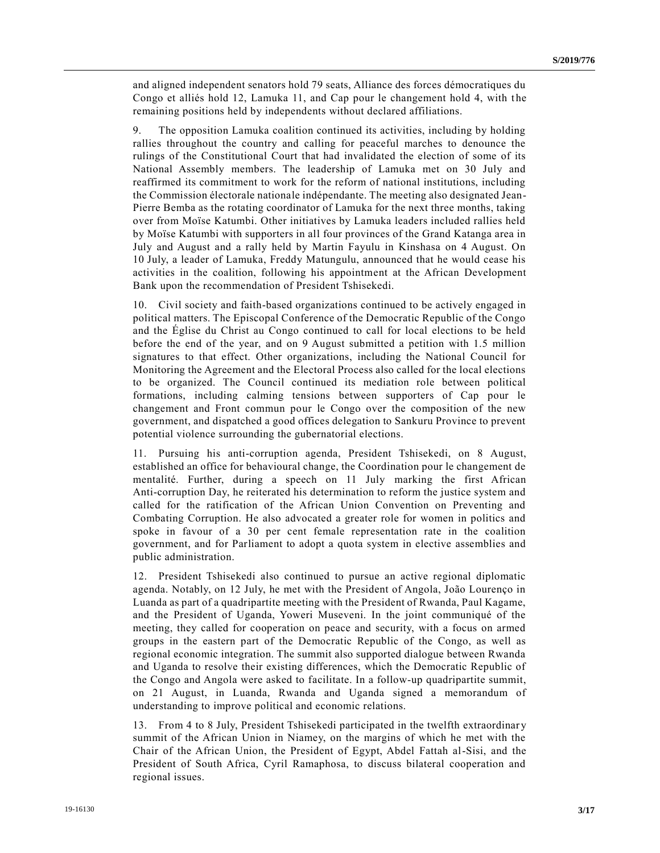and aligned independent senators hold 79 seats, Alliance des forces démocratiques du Congo et alliés hold 12, Lamuka 11, and Cap pour le changement hold 4, with the remaining positions held by independents without declared affiliations.

9. The opposition Lamuka coalition continued its activities, including by holding rallies throughout the country and calling for peaceful marches to denounce the rulings of the Constitutional Court that had invalidated the election of some of its National Assembly members. The leadership of Lamuka met on 30 July and reaffirmed its commitment to work for the reform of national institutions, including the Commission électorale nationale indépendante. The meeting also designated Jean-Pierre Bemba as the rotating coordinator of Lamuka for the next three months, taking over from Moïse Katumbi. Other initiatives by Lamuka leaders included rallies held by Moïse Katumbi with supporters in all four provinces of the Grand Katanga area in July and August and a rally held by Martin Fayulu in Kinshasa on 4 August. On 10 July, a leader of Lamuka, Freddy Matungulu, announced that he would cease his activities in the coalition, following his appointment at the African Development Bank upon the recommendation of President Tshisekedi.

10. Civil society and faith-based organizations continued to be actively engaged in political matters. The Episcopal Conference of the Democratic Republic of the Congo and the Église du Christ au Congo continued to call for local elections to be held before the end of the year, and on 9 August submitted a petition with 1.5 million signatures to that effect. Other organizations, including the National Council for Monitoring the Agreement and the Electoral Process also called for the local elections to be organized. The Council continued its mediation role between political formations, including calming tensions between supporters of Cap pour le changement and Front commun pour le Congo over the composition of the new government, and dispatched a good offices delegation to Sankuru Province to prevent potential violence surrounding the gubernatorial elections.

11. Pursuing his anti-corruption agenda, President Tshisekedi, on 8 August, established an office for behavioural change, the Coordination pour le changement de mentalité. Further, during a speech on 11 July marking the first African Anti-corruption Day, he reiterated his determination to reform the justice system and called for the ratification of the African Union Convention on Preventing and Combating Corruption. He also advocated a greater role for women in politics and spoke in favour of a 30 per cent female representation rate in the coalition government, and for Parliament to adopt a quota system in elective assemblies and public administration.

12. President Tshisekedi also continued to pursue an active regional diplomatic agenda. Notably, on 12 July, he met with the President of Angola, João Lourenço in Luanda as part of a quadripartite meeting with the President of Rwanda, Paul Kagame, and the President of Uganda, Yoweri Museveni. In the joint communiqué of the meeting, they called for cooperation on peace and security, with a focus on armed groups in the eastern part of the Democratic Republic of the Congo, as well as regional economic integration. The summit also supported dialogue between Rwanda and Uganda to resolve their existing differences, which the Democratic Republic of the Congo and Angola were asked to facilitate. In a follow-up quadripartite summit, on 21 August, in Luanda, Rwanda and Uganda signed a memorandum of understanding to improve political and economic relations.

13. From 4 to 8 July, President Tshisekedi participated in the twelfth extraordinar y summit of the African Union in Niamey, on the margins of which he met with the Chair of the African Union, the President of Egypt, Abdel Fattah al-Sisi, and the President of South Africa, Cyril Ramaphosa, to discuss bilateral cooperation and regional issues.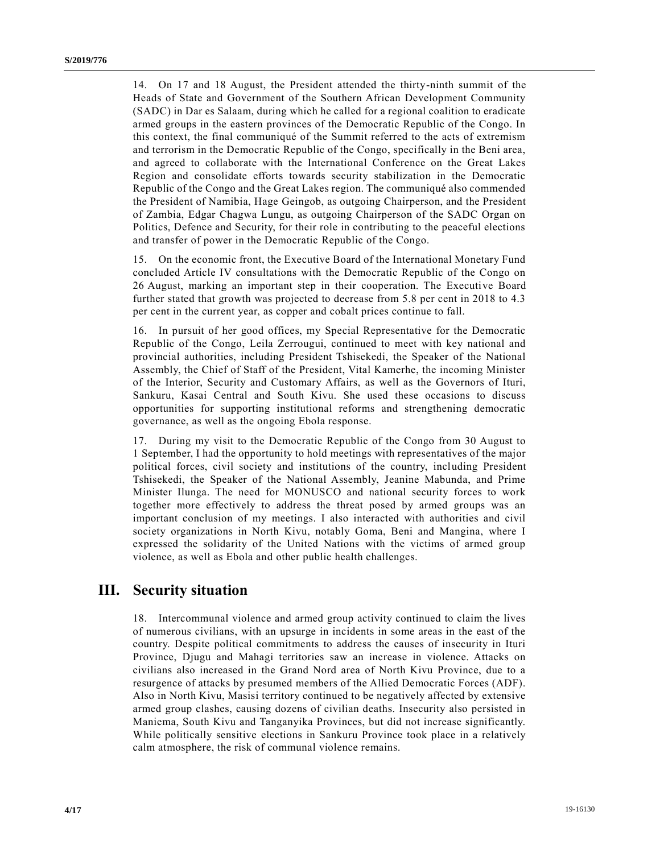14. On 17 and 18 August, the President attended the thirty-ninth summit of the Heads of State and Government of the Southern African Development Community (SADC) in Dar es Salaam, during which he called for a regional coalition to eradicate armed groups in the eastern provinces of the Democratic Republic of the Congo. In this context, the final communiqué of the Summit referred to the acts of extremism and terrorism in the Democratic Republic of the Congo, specifically in the Beni area, and agreed to collaborate with the International Conference on the Great Lakes Region and consolidate efforts towards security stabilization in the Democratic Republic of the Congo and the Great Lakes region. The communiqué also commended the President of Namibia, Hage Geingob, as outgoing Chairperson, and the President of Zambia, Edgar Chagwa Lungu, as outgoing Chairperson of the SADC Organ on Politics, Defence and Security, for their role in contributing to the peaceful elections and transfer of power in the Democratic Republic of the Congo.

15. On the economic front, the Executive Board of the International Monetary Fund concluded Article IV consultations with the Democratic Republic of the Congo on 26 August, marking an important step in their cooperation. The Executive Board further stated that growth was projected to decrease from 5.8 per cent in 2018 to 4.3 per cent in the current year, as copper and cobalt prices continue to fall.

16. In pursuit of her good offices, my Special Representative for the Democratic Republic of the Congo, Leila Zerrougui, continued to meet with key national and provincial authorities, including President Tshisekedi, the Speaker of the National Assembly, the Chief of Staff of the President, Vital Kamerhe, the incoming Minister of the Interior, Security and Customary Affairs, as well as the Governors of Ituri, Sankuru, Kasai Central and South Kivu. She used these occasions to discuss opportunities for supporting institutional reforms and strengthening democratic governance, as well as the ongoing Ebola response.

17. During my visit to the Democratic Republic of the Congo from 30 August to 1 September, I had the opportunity to hold meetings with representatives of the major political forces, civil society and institutions of the country, including President Tshisekedi, the Speaker of the National Assembly, Jeanine Mabunda, and Prime Minister Ilunga. The need for MONUSCO and national security forces to work together more effectively to address the threat posed by armed groups was an important conclusion of my meetings. I also interacted with authorities and civil society organizations in North Kivu, notably Goma, Beni and Mangina, where I expressed the solidarity of the United Nations with the victims of armed group violence, as well as Ebola and other public health challenges.

# **III. Security situation**

18. Intercommunal violence and armed group activity continued to claim the lives of numerous civilians, with an upsurge in incidents in some areas in the east of the country. Despite political commitments to address the causes of insecurity in Ituri Province, Djugu and Mahagi territories saw an increase in violence. Attacks on civilians also increased in the Grand Nord area of North Kivu Province, due to a resurgence of attacks by presumed members of the Allied Democratic Forces (ADF). Also in North Kivu, Masisi territory continued to be negatively affected by extensive armed group clashes, causing dozens of civilian deaths. Insecurity also persisted in Maniema, South Kivu and Tanganyika Provinces, but did not increase significantly. While politically sensitive elections in Sankuru Province took place in a relatively calm atmosphere, the risk of communal violence remains.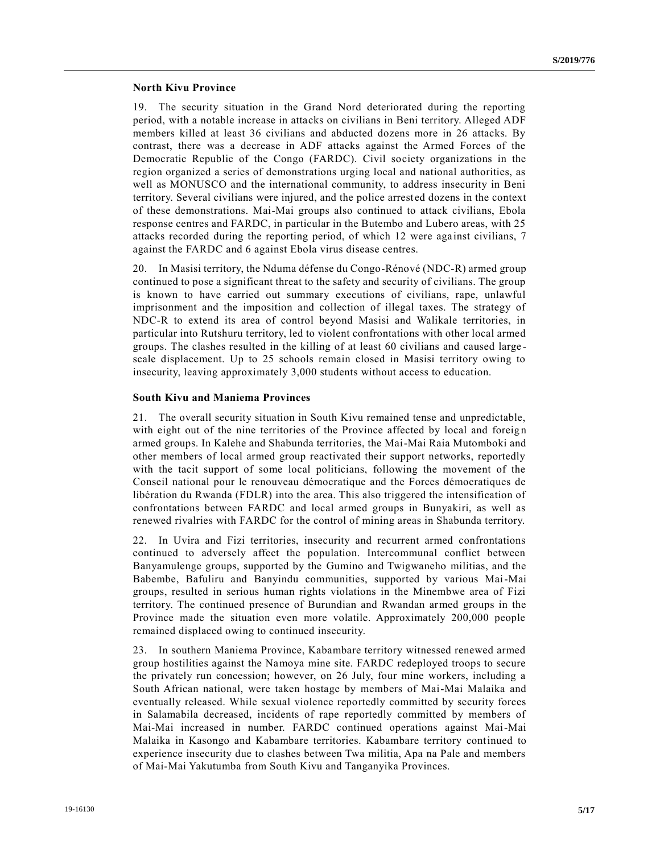#### **North Kivu Province**

19. The security situation in the Grand Nord deteriorated during the reporting period, with a notable increase in attacks on civilians in Beni territory. Alleged ADF members killed at least 36 civilians and abducted dozens more in 26 attacks. By contrast, there was a decrease in ADF attacks against the Armed Forces of the Democratic Republic of the Congo (FARDC). Civil society organizations in the region organized a series of demonstrations urging local and national authorities, as well as MONUSCO and the international community, to address insecurity in Beni territory. Several civilians were injured, and the police arrested dozens in the context of these demonstrations. Mai-Mai groups also continued to attack civilians, Ebola response centres and FARDC, in particular in the Butembo and Lubero areas, with 25 attacks recorded during the reporting period, of which 12 were against civilians, 7 against the FARDC and 6 against Ebola virus disease centres.

20. In Masisi territory, the Nduma défense du Congo-Rénové (NDC-R) armed group continued to pose a significant threat to the safety and security of civilians. The group is known to have carried out summary executions of civilians, rape, unlawful imprisonment and the imposition and collection of illegal taxes. The strategy of NDC-R to extend its area of control beyond Masisi and Walikale territories, in particular into Rutshuru territory, led to violent confrontations with other local armed groups. The clashes resulted in the killing of at least 60 civilians and caused large scale displacement. Up to 25 schools remain closed in Masisi territory owing to insecurity, leaving approximately 3,000 students without access to education.

#### **South Kivu and Maniema Provinces**

21. The overall security situation in South Kivu remained tense and unpredictable, with eight out of the nine territories of the Province affected by local and foreign armed groups. In Kalehe and Shabunda territories, the Mai-Mai Raia Mutomboki and other members of local armed group reactivated their support networks, reportedly with the tacit support of some local politicians, following the movement of the Conseil national pour le renouveau démocratique and the Forces démocratiques de libération du Rwanda (FDLR) into the area. This also triggered the intensification of confrontations between FARDC and local armed groups in Bunyakiri, as well as renewed rivalries with FARDC for the control of mining areas in Shabunda territory.

22. In Uvira and Fizi territories, insecurity and recurrent armed confrontations continued to adversely affect the population. Intercommunal conflict between Banyamulenge groups, supported by the Gumino and Twigwaneho militias, and the Babembe, Bafuliru and Banyindu communities, supported by various Mai-Mai groups, resulted in serious human rights violations in the Minembwe area of Fizi territory. The continued presence of Burundian and Rwandan armed groups in the Province made the situation even more volatile. Approximately 200,000 people remained displaced owing to continued insecurity.

23. In southern Maniema Province, Kabambare territory witnessed renewed armed group hostilities against the Namoya mine site. FARDC redeployed troops to secure the privately run concession; however, on 26 July, four mine workers, including a South African national, were taken hostage by members of Mai-Mai Malaika and eventually released. While sexual violence reportedly committed by security forces in Salamabila decreased, incidents of rape reportedly committed by members of Mai-Mai increased in number. FARDC continued operations against Mai-Mai Malaika in Kasongo and Kabambare territories. Kabambare territory continued to experience insecurity due to clashes between Twa militia, Apa na Pale and members of Mai-Mai Yakutumba from South Kivu and Tanganyika Provinces.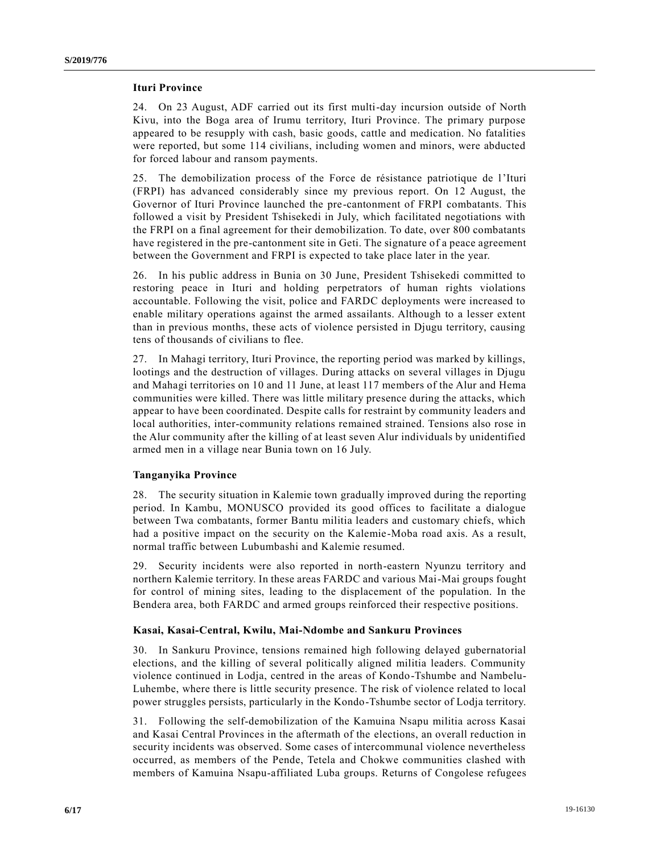#### **Ituri Province**

24. On 23 August, ADF carried out its first multi-day incursion outside of North Kivu, into the Boga area of Irumu territory, Ituri Province. The primary purpose appeared to be resupply with cash, basic goods, cattle and medication. No fatalities were reported, but some 114 civilians, including women and minors, were abducted for forced labour and ransom payments.

25. The demobilization process of the Force de résistance patriotique de l'Ituri (FRPI) has advanced considerably since my previous report. On 12 August, the Governor of Ituri Province launched the pre-cantonment of FRPI combatants. This followed a visit by President Tshisekedi in July, which facilitated negotiations with the FRPI on a final agreement for their demobilization. To date, over 800 combatants have registered in the pre-cantonment site in Geti. The signature of a peace agreement between the Government and FRPI is expected to take place later in the year.

26. In his public address in Bunia on 30 June, President Tshisekedi committed to restoring peace in Ituri and holding perpetrators of human rights violations accountable. Following the visit, police and FARDC deployments were increased to enable military operations against the armed assailants. Although to a lesser extent than in previous months, these acts of violence persisted in Djugu territory, causing tens of thousands of civilians to flee.

27. In Mahagi territory, Ituri Province, the reporting period was marked by killings, lootings and the destruction of villages. During attacks on several villages in Djugu and Mahagi territories on 10 and 11 June, at least 117 members of the Alur and Hema communities were killed. There was little military presence during the attacks, which appear to have been coordinated. Despite calls for restraint by community leaders and local authorities, inter-community relations remained strained. Tensions also rose in the Alur community after the killing of at least seven Alur individuals by unidentified armed men in a village near Bunia town on 16 July.

#### **Tanganyika Province**

28. The security situation in Kalemie town gradually improved during the reporting period. In Kambu, MONUSCO provided its good offices to facilitate a dialogue between Twa combatants, former Bantu militia leaders and customary chiefs, which had a positive impact on the security on the Kalemie-Moba road axis. As a result, normal traffic between Lubumbashi and Kalemie resumed.

29. Security incidents were also reported in north-eastern Nyunzu territory and northern Kalemie territory. In these areas FARDC and various Mai-Mai groups fought for control of mining sites, leading to the displacement of the population. In the Bendera area, both FARDC and armed groups reinforced their respective positions.

#### **Kasai, Kasai-Central, Kwilu, Mai-Ndombe and Sankuru Provinces**

30. In Sankuru Province, tensions remained high following delayed gubernatorial elections, and the killing of several politically aligned militia leaders. Community violence continued in Lodja, centred in the areas of Kondo-Tshumbe and Nambelu-Luhembe, where there is little security presence. The risk of violence related to local power struggles persists, particularly in the Kondo-Tshumbe sector of Lodja territory.

31. Following the self-demobilization of the Kamuina Nsapu militia across Kasai and Kasai Central Provinces in the aftermath of the elections, an overall reduction in security incidents was observed. Some cases of intercommunal violence nevertheless occurred, as members of the Pende, Tetela and Chokwe communities clashed with members of Kamuina Nsapu-affiliated Luba groups. Returns of Congolese refugees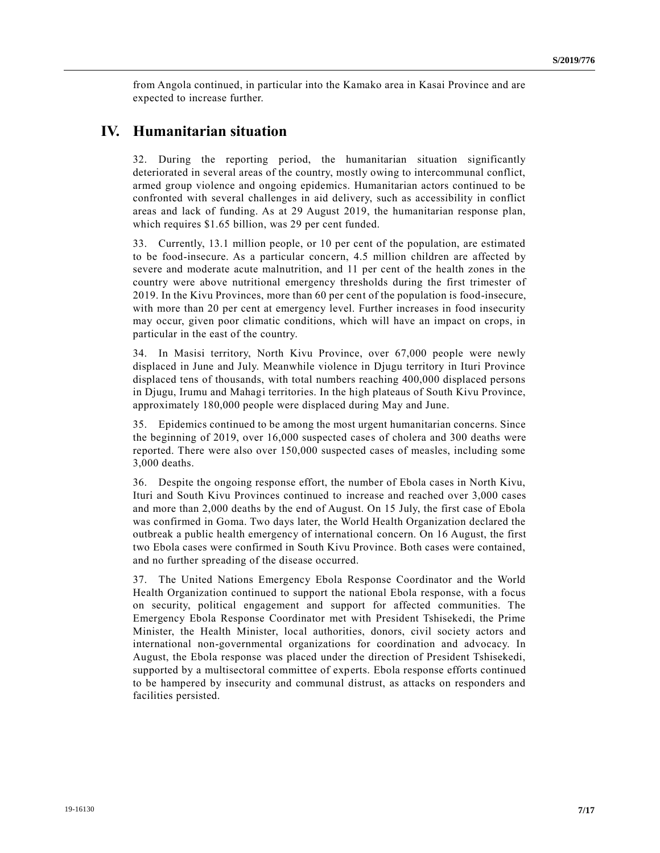from Angola continued, in particular into the Kamako area in Kasai Province and are expected to increase further.

# **IV. Humanitarian situation**

32. During the reporting period, the humanitarian situation significantly deteriorated in several areas of the country, mostly owing to intercommunal conflict, armed group violence and ongoing epidemics. Humanitarian actors continued to be confronted with several challenges in aid delivery, such as accessibility in conflict areas and lack of funding. As at 29 August 2019, the humanitarian response plan, which requires \$1.65 billion, was 29 per cent funded.

33. Currently, 13.1 million people, or 10 per cent of the population, are estimated to be food-insecure. As a particular concern, 4.5 million children are affected by severe and moderate acute malnutrition, and 11 per cent of the health zones in the country were above nutritional emergency thresholds during the first trimester of 2019. In the Kivu Provinces, more than 60 per cent of the population is food-insecure, with more than 20 per cent at emergency level. Further increases in food insecurity may occur, given poor climatic conditions, which will have an impact on crops, in particular in the east of the country.

34. In Masisi territory, North Kivu Province, over 67,000 people were newly displaced in June and July. Meanwhile violence in Djugu territory in Ituri Province displaced tens of thousands, with total numbers reaching 400,000 displaced persons in Djugu, Irumu and Mahagi territories. In the high plateaus of South Kivu Province, approximately 180,000 people were displaced during May and June.

35. Epidemics continued to be among the most urgent humanitarian concerns. Since the beginning of 2019, over 16,000 suspected cases of cholera and 300 deaths were reported. There were also over 150,000 suspected cases of measles, including some 3,000 deaths.

36. Despite the ongoing response effort, the number of Ebola cases in North Kivu, Ituri and South Kivu Provinces continued to increase and reached over 3,000 cases and more than 2,000 deaths by the end of August. On 15 July, the first case of Ebola was confirmed in Goma. Two days later, the World Health Organization declared the outbreak a public health emergency of international concern. On 16 August, the first two Ebola cases were confirmed in South Kivu Province. Both cases were contained, and no further spreading of the disease occurred.

37. The United Nations Emergency Ebola Response Coordinator and the World Health Organization continued to support the national Ebola response, with a focus on security, political engagement and support for affected communities. The Emergency Ebola Response Coordinator met with President Tshisekedi, the Prime Minister, the Health Minister, local authorities, donors, civil society actors and international non-governmental organizations for coordination and advocacy. In August, the Ebola response was placed under the direction of President Tshisekedi, supported by a multisectoral committee of experts. Ebola response efforts continued to be hampered by insecurity and communal distrust, as attacks on responders and facilities persisted.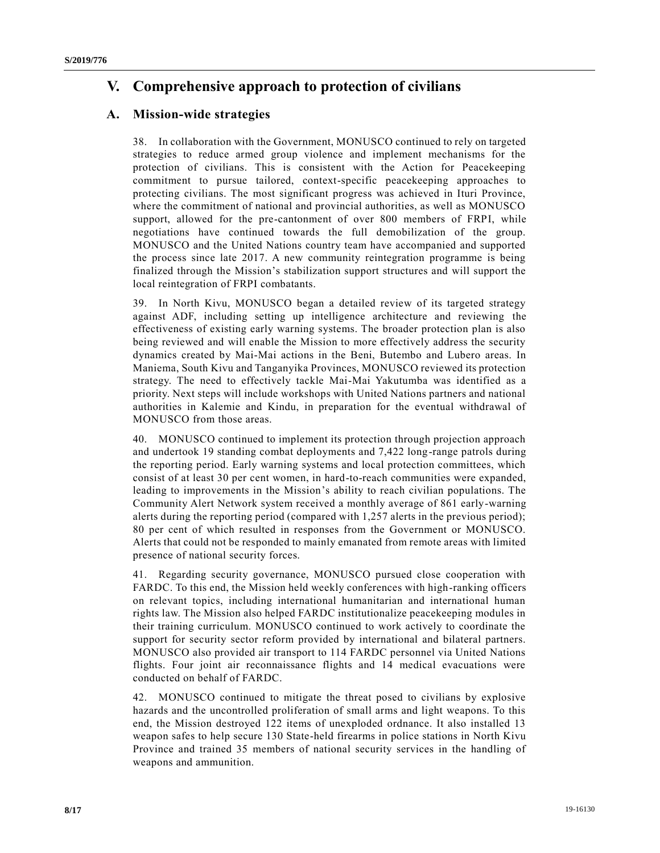# **V. Comprehensive approach to protection of civilians**

# **A. Mission-wide strategies**

38. In collaboration with the Government, MONUSCO continued to rely on targeted strategies to reduce armed group violence and implement mechanisms for the protection of civilians. This is consistent with the Action for Peacekeeping commitment to pursue tailored, context-specific peacekeeping approaches to protecting civilians. The most significant progress was achieved in Ituri Province, where the commitment of national and provincial authorities, as well as MONUSCO support, allowed for the pre-cantonment of over 800 members of FRPI, while negotiations have continued towards the full demobilization of the group. MONUSCO and the United Nations country team have accompanied and supported the process since late 2017. A new community reintegration programme is being finalized through the Mission's stabilization support structures and will support the local reintegration of FRPI combatants.

39. In North Kivu, MONUSCO began a detailed review of its targeted strategy against ADF, including setting up intelligence architecture and reviewing the effectiveness of existing early warning systems. The broader protection plan is also being reviewed and will enable the Mission to more effectively address the security dynamics created by Mai-Mai actions in the Beni, Butembo and Lubero areas. In Maniema, South Kivu and Tanganyika Provinces, MONUSCO reviewed its protection strategy. The need to effectively tackle Mai-Mai Yakutumba was identified as a priority. Next steps will include workshops with United Nations partners and national authorities in Kalemie and Kindu, in preparation for the eventual withdrawal of MONUSCO from those areas.

40. MONUSCO continued to implement its protection through projection approach and undertook 19 standing combat deployments and 7,422 long-range patrols during the reporting period. Early warning systems and local protection committees, which consist of at least 30 per cent women, in hard-to-reach communities were expanded, leading to improvements in the Mission's ability to reach civilian populations. The Community Alert Network system received a monthly average of 861 early-warning alerts during the reporting period (compared with 1,257 alerts in the previous period); 80 per cent of which resulted in responses from the Government or MONUSCO. Alerts that could not be responded to mainly emanated from remote areas with limited presence of national security forces.

41. Regarding security governance, MONUSCO pursued close cooperation with FARDC. To this end, the Mission held weekly conferences with high-ranking officers on relevant topics, including international humanitarian and international human rights law. The Mission also helped FARDC institutionalize peacekeeping modules in their training curriculum. MONUSCO continued to work actively to coordinate the support for security sector reform provided by international and bilateral partners. MONUSCO also provided air transport to 114 FARDC personnel via United Nations flights. Four joint air reconnaissance flights and 14 medical evacuations were conducted on behalf of FARDC.

42. MONUSCO continued to mitigate the threat posed to civilians by explosive hazards and the uncontrolled proliferation of small arms and light weapons. To this end, the Mission destroyed 122 items of unexploded ordnance. It also installed 13 weapon safes to help secure 130 State-held firearms in police stations in North Kivu Province and trained 35 members of national security services in the handling of weapons and ammunition.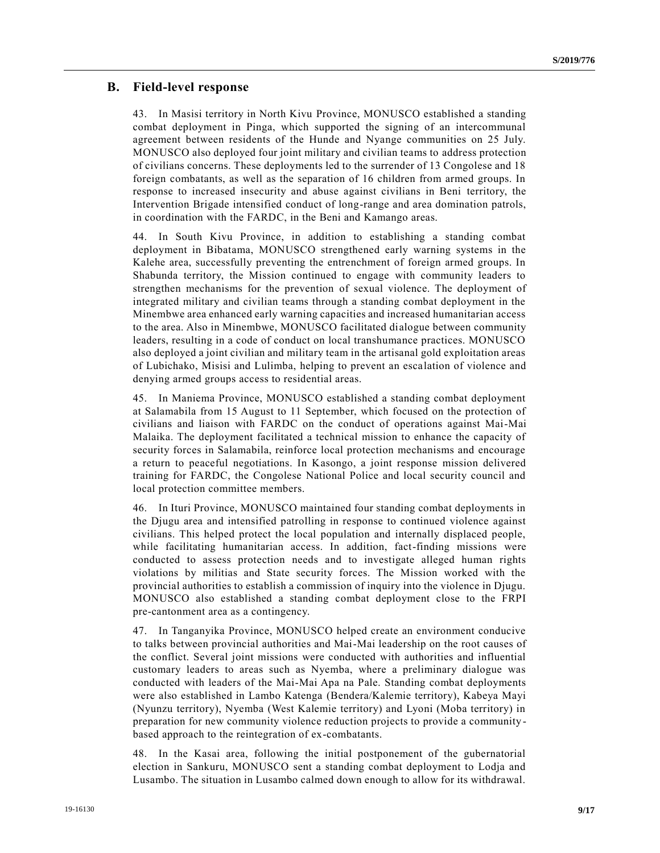### **B. Field-level response**

43. In Masisi territory in North Kivu Province, MONUSCO established a standing combat deployment in Pinga, which supported the signing of an intercommunal agreement between residents of the Hunde and Nyange communities on 25 July. MONUSCO also deployed four joint military and civilian teams to address protection of civilians concerns. These deployments led to the surrender of 13 Congolese and 18 foreign combatants, as well as the separation of 16 children from armed groups. In response to increased insecurity and abuse against civilians in Beni territory, the Intervention Brigade intensified conduct of long-range and area domination patrols, in coordination with the FARDC, in the Beni and Kamango areas.

44. In South Kivu Province, in addition to establishing a standing combat deployment in Bibatama, MONUSCO strengthened early warning systems in the Kalehe area, successfully preventing the entrenchment of foreign armed groups. In Shabunda territory, the Mission continued to engage with community leaders to strengthen mechanisms for the prevention of sexual violence. The deployment of integrated military and civilian teams through a standing combat deployment in the Minembwe area enhanced early warning capacities and increased humanitarian access to the area. Also in Minembwe, MONUSCO facilitated dialogue between community leaders, resulting in a code of conduct on local transhumance practices. MONUSCO also deployed a joint civilian and military team in the artisanal gold exploitation areas of Lubichako, Misisi and Lulimba, helping to prevent an escalation of violence and denying armed groups access to residential areas.

45. In Maniema Province, MONUSCO established a standing combat deployment at Salamabila from 15 August to 11 September, which focused on the protection of civilians and liaison with FARDC on the conduct of operations against Mai-Mai Malaika. The deployment facilitated a technical mission to enhance the capacity of security forces in Salamabila, reinforce local protection mechanisms and encourage a return to peaceful negotiations. In Kasongo, a joint response mission delivered training for FARDC, the Congolese National Police and local security council and local protection committee members.

46. In Ituri Province, MONUSCO maintained four standing combat deployments in the Djugu area and intensified patrolling in response to continued violence against civilians. This helped protect the local population and internally displaced people, while facilitating humanitarian access. In addition, fact-finding missions were conducted to assess protection needs and to investigate alleged human rights violations by militias and State security forces. The Mission worked with the provincial authorities to establish a commission of inquiry into the violence in Djugu. MONUSCO also established a standing combat deployment close to the FRPI pre-cantonment area as a contingency.

47. In Tanganyika Province, MONUSCO helped create an environment conducive to talks between provincial authorities and Mai-Mai leadership on the root causes of the conflict. Several joint missions were conducted with authorities and influential customary leaders to areas such as Nyemba, where a preliminary dialogue was conducted with leaders of the Mai-Mai Apa na Pale. Standing combat deployments were also established in Lambo Katenga (Bendera/Kalemie territory), Kabeya Mayi (Nyunzu territory), Nyemba (West Kalemie territory) and Lyoni (Moba territory) in preparation for new community violence reduction projects to provide a community based approach to the reintegration of ex-combatants.

48. In the Kasai area, following the initial postponement of the gubernatorial election in Sankuru, MONUSCO sent a standing combat deployment to Lodja and Lusambo. The situation in Lusambo calmed down enough to allow for its withdrawal.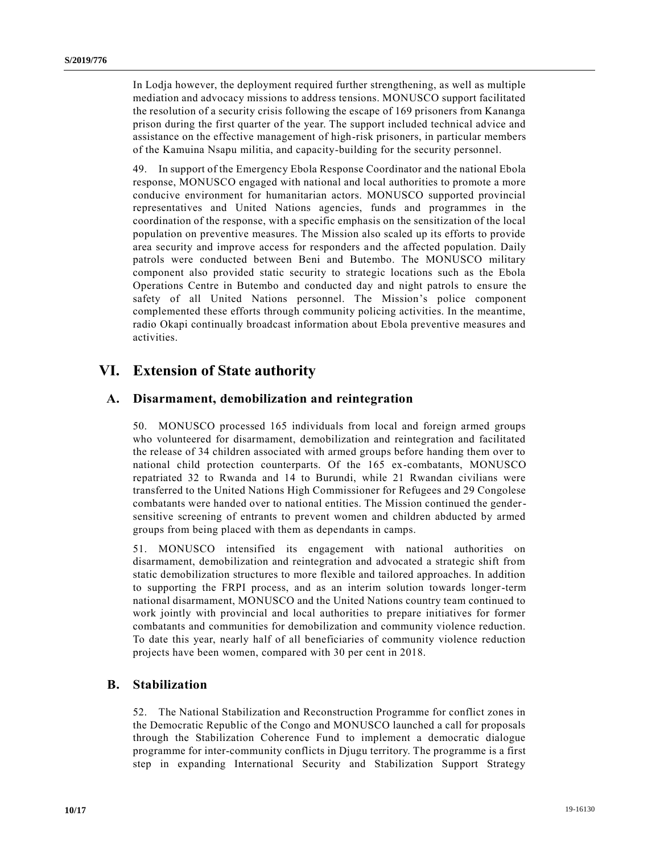In Lodja however, the deployment required further strengthening, as well as multiple mediation and advocacy missions to address tensions. MONUSCO support facilitated the resolution of a security crisis following the escape of 169 prisoners from Kananga prison during the first quarter of the year. The support included technical advice and assistance on the effective management of high-risk prisoners, in particular members of the Kamuina Nsapu militia, and capacity-building for the security personnel.

49. In support of the Emergency Ebola Response Coordinator and the national Ebola response, MONUSCO engaged with national and local authorities to promote a more conducive environment for humanitarian actors. MONUSCO supported provincial representatives and United Nations agencies, funds and programmes in the coordination of the response, with a specific emphasis on the sensitization of the local population on preventive measures. The Mission also scaled up its efforts to provide area security and improve access for responders and the affected population. Daily patrols were conducted between Beni and Butembo. The MONUSCO military component also provided static security to strategic locations such as the Ebola Operations Centre in Butembo and conducted day and night patrols to ensure the safety of all United Nations personnel. The Mission's police component complemented these efforts through community policing activities. In the meantime, radio Okapi continually broadcast information about Ebola preventive measures and activities.

# **VI. Extension of State authority**

### **A. Disarmament, demobilization and reintegration**

50. MONUSCO processed 165 individuals from local and foreign armed groups who volunteered for disarmament, demobilization and reintegration and facilitated the release of 34 children associated with armed groups before handing them over to national child protection counterparts. Of the 165 ex-combatants, MONUSCO repatriated 32 to Rwanda and 14 to Burundi, while 21 Rwandan civilians were transferred to the United Nations High Commissioner for Refugees and 29 Congolese combatants were handed over to national entities. The Mission continued the gendersensitive screening of entrants to prevent women and children abducted by armed groups from being placed with them as dependants in camps.

51. MONUSCO intensified its engagement with national authorities on disarmament, demobilization and reintegration and advocated a strategic shift from static demobilization structures to more flexible and tailored approaches. In addition to supporting the FRPI process, and as an interim solution towards longer-term national disarmament, MONUSCO and the United Nations country team continued to work jointly with provincial and local authorities to prepare initiatives for former combatants and communities for demobilization and community violence reduction. To date this year, nearly half of all beneficiaries of community violence reduction projects have been women, compared with 30 per cent in 2018.

#### **B. Stabilization**

52. The National Stabilization and Reconstruction Programme for conflict zones in the Democratic Republic of the Congo and MONUSCO launched a call for proposals through the Stabilization Coherence Fund to implement a democratic dialogue programme for inter-community conflicts in Djugu territory. The programme is a first step in expanding International Security and Stabilization Support Strategy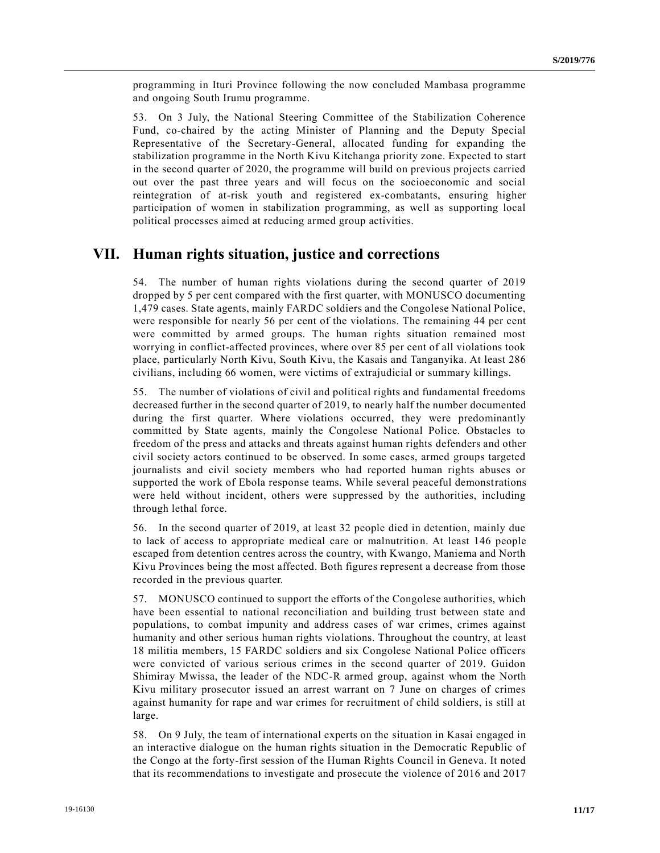programming in Ituri Province following the now concluded Mambasa programme and ongoing South Irumu programme.

53. On 3 July, the National Steering Committee of the Stabilization Coherence Fund, co-chaired by the acting Minister of Planning and the Deputy Special Representative of the Secretary-General, allocated funding for expanding the stabilization programme in the North Kivu Kitchanga priority zone. Expected to start in the second quarter of 2020, the programme will build on previous projects carried out over the past three years and will focus on the socioeconomic and social reintegration of at-risk youth and registered ex-combatants, ensuring higher participation of women in stabilization programming, as well as supporting local political processes aimed at reducing armed group activities.

### **VII. Human rights situation, justice and corrections**

54. The number of human rights violations during the second quarter of 2019 dropped by 5 per cent compared with the first quarter, with MONUSCO documenting 1,479 cases. State agents, mainly FARDC soldiers and the Congolese National Police, were responsible for nearly 56 per cent of the violations. The remaining 44 per cent were committed by armed groups. The human rights situation remained most worrying in conflict-affected provinces, where over 85 per cent of all violations took place, particularly North Kivu, South Kivu, the Kasais and Tanganyika. At least 286 civilians, including 66 women, were victims of extrajudicial or summary killings.

55. The number of violations of civil and political rights and fundamental freedoms decreased further in the second quarter of 2019, to nearly half the number documented during the first quarter. Where violations occurred, they were predominantly committed by State agents, mainly the Congolese National Police. Obstacles to freedom of the press and attacks and threats against human rights defenders and other civil society actors continued to be observed. In some cases, armed groups targeted journalists and civil society members who had reported human rights abuses or supported the work of Ebola response teams. While several peaceful demonstrations were held without incident, others were suppressed by the authorities, including through lethal force.

56. In the second quarter of 2019, at least 32 people died in detention, mainly due to lack of access to appropriate medical care or malnutrition. At least 146 people escaped from detention centres across the country, with Kwango, Maniema and North Kivu Provinces being the most affected. Both figures represent a decrease from those recorded in the previous quarter.

57. MONUSCO continued to support the efforts of the Congolese authorities, which have been essential to national reconciliation and building trust between state and populations, to combat impunity and address cases of war crimes, crimes against humanity and other serious human rights violations. Throughout the country, at least 18 militia members, 15 FARDC soldiers and six Congolese National Police officers were convicted of various serious crimes in the second quarter of 2019. Guidon Shimiray Mwissa, the leader of the NDC-R armed group, against whom the North Kivu military prosecutor issued an arrest warrant on 7 June on charges of crimes against humanity for rape and war crimes for recruitment of child soldiers, is still at large.

58. On 9 July, the team of international experts on the situation in Kasai engaged in an interactive dialogue on the human rights situation in the Democratic Republic of the Congo at the forty-first session of the Human Rights Council in Geneva. It noted that its recommendations to investigate and prosecute the violence of 2016 and 2017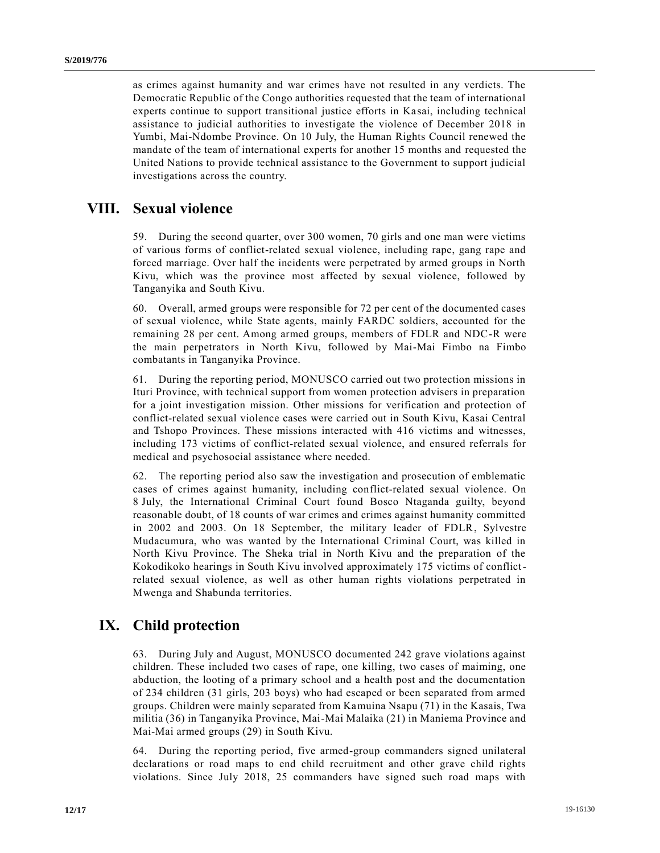as crimes against humanity and war crimes have not resulted in any verdicts. The Democratic Republic of the Congo authorities requested that the team of international experts continue to support transitional justice efforts in Ka sai, including technical assistance to judicial authorities to investigate the violence of December 2018 in Yumbi, Mai-Ndombe Province. On 10 July, the Human Rights Council renewed the mandate of the team of international experts for another 15 months and requested the United Nations to provide technical assistance to the Government to support judicial investigations across the country.

# **VIII. Sexual violence**

59. During the second quarter, over 300 women, 70 girls and one man were victims of various forms of conflict-related sexual violence, including rape, gang rape and forced marriage. Over half the incidents were perpetrated by armed groups in North Kivu, which was the province most affected by sexual violence, followed by Tanganyika and South Kivu.

60. Overall, armed groups were responsible for 72 per cent of the documented cases of sexual violence, while State agents, mainly FARDC soldiers, accounted for the remaining 28 per cent. Among armed groups, members of FDLR and NDC-R were the main perpetrators in North Kivu, followed by Mai-Mai Fimbo na Fimbo combatants in Tanganyika Province.

61. During the reporting period, MONUSCO carried out two protection missions in Ituri Province, with technical support from women protection advisers in preparation for a joint investigation mission. Other missions for verification and protection of conflict-related sexual violence cases were carried out in South Kivu, Kasai Central and Tshopo Provinces. These missions interacted with 416 victims and witnesses, including 173 victims of conflict-related sexual violence, and ensured referrals for medical and psychosocial assistance where needed.

62. The reporting period also saw the investigation and prosecution of emblematic cases of crimes against humanity, including conflict-related sexual violence. On 8 July, the International Criminal Court found Bosco Ntaganda guilty, beyond reasonable doubt, of 18 counts of war crimes and crimes against humanity committed in 2002 and 2003. On 18 September, the military leader of FDLR, Sylvestre Mudacumura, who was wanted by the International Criminal Court, was killed in North Kivu Province. The Sheka trial in North Kivu and the preparation of the Kokodikoko hearings in South Kivu involved approximately 175 victims of conflictrelated sexual violence, as well as other human rights violations perpetrated in Mwenga and Shabunda territories.

# **IX. Child protection**

63. During July and August, MONUSCO documented 242 grave violations against children. These included two cases of rape, one killing, two cases of maiming, one abduction, the looting of a primary school and a health post and the documentation of 234 children (31 girls, 203 boys) who had escaped or been separated from armed groups. Children were mainly separated from Kamuina Nsapu (71) in the Kasais, Twa militia (36) in Tanganyika Province, Mai-Mai Malaika (21) in Maniema Province and Mai-Mai armed groups (29) in South Kivu.

64. During the reporting period, five armed-group commanders signed unilateral declarations or road maps to end child recruitment and other grave child rights violations. Since July 2018, 25 commanders have signed such road maps with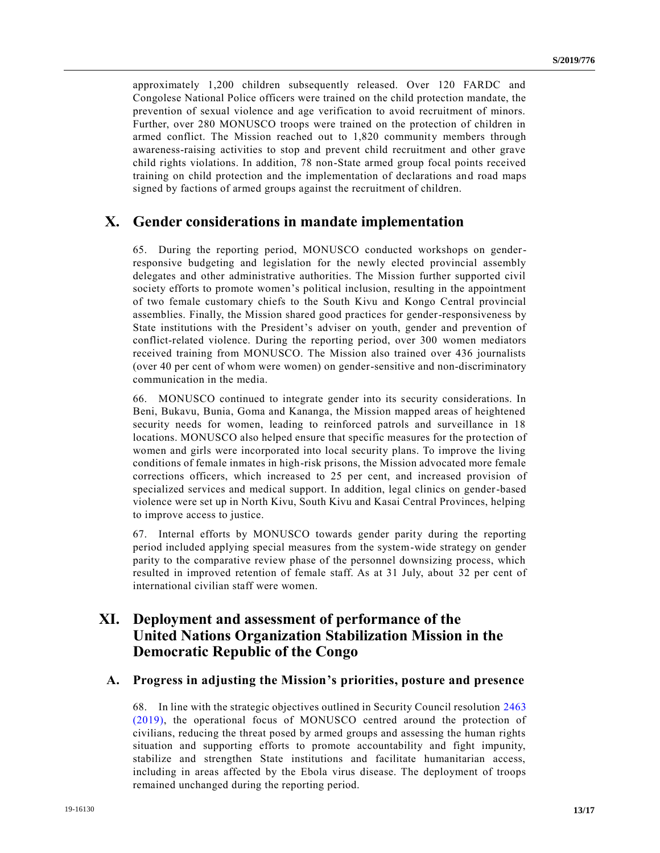approximately 1,200 children subsequently released. Over 120 FARDC and Congolese National Police officers were trained on the child protection mandate, the prevention of sexual violence and age verification to avoid recruitment of minors. Further, over 280 MONUSCO troops were trained on the protection of children in armed conflict. The Mission reached out to 1,820 community members through awareness-raising activities to stop and prevent child recruitment and other grave child rights violations. In addition, 78 non-State armed group focal points received training on child protection and the implementation of declarations and road maps signed by factions of armed groups against the recruitment of children.

## **X. Gender considerations in mandate implementation**

65. During the reporting period, MONUSCO conducted workshops on genderresponsive budgeting and legislation for the newly elected provincial assembly delegates and other administrative authorities. The Mission further supported civil society efforts to promote women's political inclusion, resulting in the appointment of two female customary chiefs to the South Kivu and Kongo Central provincial assemblies. Finally, the Mission shared good practices for gender-responsiveness by State institutions with the President's adviser on youth, gender and prevention of conflict-related violence. During the reporting period, over 300 women mediators received training from MONUSCO. The Mission also trained over 436 journalists (over 40 per cent of whom were women) on gender-sensitive and non-discriminatory communication in the media.

66. MONUSCO continued to integrate gender into its security considerations. In Beni, Bukavu, Bunia, Goma and Kananga, the Mission mapped areas of heightened security needs for women, leading to reinforced patrols and surveillance in 18 locations. MONUSCO also helped ensure that specific measures for the protection of women and girls were incorporated into local security plans. To improve the living conditions of female inmates in high-risk prisons, the Mission advocated more female corrections officers, which increased to 25 per cent, and increased provision of specialized services and medical support. In addition, legal clinics on gender-based violence were set up in North Kivu, South Kivu and Kasai Central Provinces, helping to improve access to justice.

67. Internal efforts by MONUSCO towards gender parity during the reporting period included applying special measures from the system-wide strategy on gender parity to the comparative review phase of the personnel downsizing process, which resulted in improved retention of female staff. As at 31 July, about 32 per cent of international civilian staff were women.

# **XI. Deployment and assessment of performance of the United Nations Organization Stabilization Mission in the Democratic Republic of the Congo**

### **A. Progress in adjusting the Mission's priorities, posture and presence**

68. In line with the strategic objectives outlined in Security Council resolution [2463](https://undocs.org/en/s/RES/2463%20(2019))  [\(2019\),](https://undocs.org/en/s/RES/2463%20(2019)) the operational focus of MONUSCO centred around the protection of civilians, reducing the threat posed by armed groups and assessing the human rights situation and supporting efforts to promote accountability and fight impunity, stabilize and strengthen State institutions and facilitate humanitarian access, including in areas affected by the Ebola virus disease. The deployment of troops remained unchanged during the reporting period.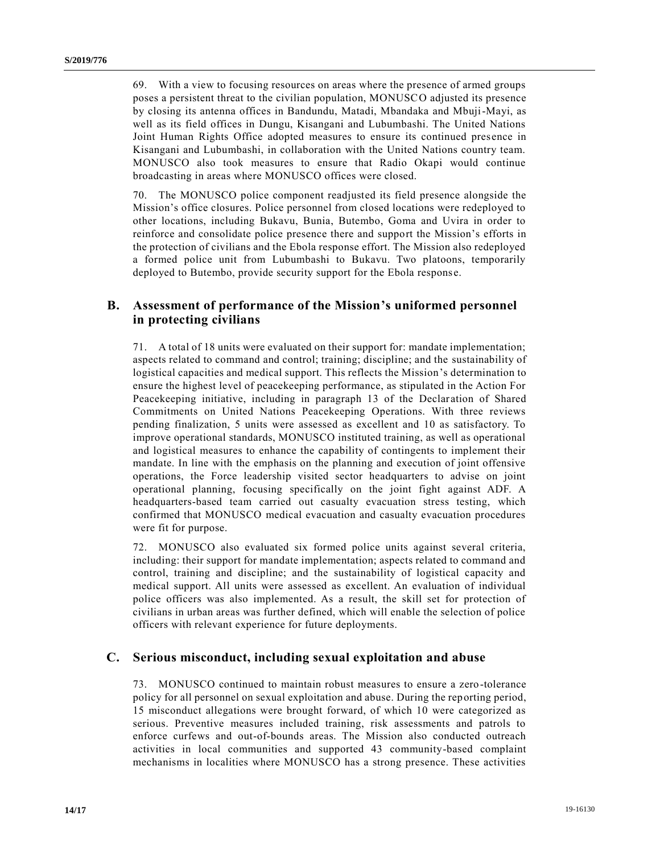69. With a view to focusing resources on areas where the presence of armed groups poses a persistent threat to the civilian population, MONUSCO adjusted its presence by closing its antenna offices in Bandundu, Matadi, Mbandaka and Mbuji-Mayi, as well as its field offices in Dungu, Kisangani and Lubumbashi. The United Nations Joint Human Rights Office adopted measures to ensure its continued presence in Kisangani and Lubumbashi, in collaboration with the United Nations country team. MONUSCO also took measures to ensure that Radio Okapi would continue broadcasting in areas where MONUSCO offices were closed.

70. The MONUSCO police component readjusted its field presence alongside the Mission's office closures. Police personnel from closed locations were redeployed to other locations, including Bukavu, Bunia, Butembo, Goma and Uvira in order to reinforce and consolidate police presence there and support the Mission's efforts in the protection of civilians and the Ebola response effort. The Mission also redeployed a formed police unit from Lubumbashi to Bukavu. Two platoons, temporarily deployed to Butembo, provide security support for the Ebola respons e.

### **B. Assessment of performance of the Mission's uniformed personnel in protecting civilians**

71. A total of 18 units were evaluated on their support for: mandate implementation; aspects related to command and control; training; discipline; and the sustainability of logistical capacities and medical support. This reflects the Mission's determination to ensure the highest level of peacekeeping performance, as stipulated in the Action For Peacekeeping initiative, including in paragraph 13 of the Declar ation of Shared Commitments on United Nations Peacekeeping Operations. With three reviews pending finalization, 5 units were assessed as excellent and 10 as satisfactory. To improve operational standards, MONUSCO instituted training, as well as operational and logistical measures to enhance the capability of contingents to implement their mandate. In line with the emphasis on the planning and execution of joint offensive operations, the Force leadership visited sector headquarters to advise on joint operational planning, focusing specifically on the joint fight against ADF. A headquarters-based team carried out casualty evacuation stress testing, which confirmed that MONUSCO medical evacuation and casualty evacuation procedures were fit for purpose.

72. MONUSCO also evaluated six formed police units against several criteria, including: their support for mandate implementation; aspects related to command and control, training and discipline; and the sustainability of logistical capacity and medical support. All units were assessed as excellent. An evaluation of individual police officers was also implemented. As a result, the skill set for protection of civilians in urban areas was further defined, which will enable the selection of police officers with relevant experience for future deployments.

### **C. Serious misconduct, including sexual exploitation and abuse**

73. MONUSCO continued to maintain robust measures to ensure a zero-tolerance policy for all personnel on sexual exploitation and abuse. During the reporting period, 15 misconduct allegations were brought forward, of which 10 were categorized as serious. Preventive measures included training, risk assessments and patrols to enforce curfews and out-of-bounds areas. The Mission also conducted outreach activities in local communities and supported 43 community-based complaint mechanisms in localities where MONUSCO has a strong presence. These activities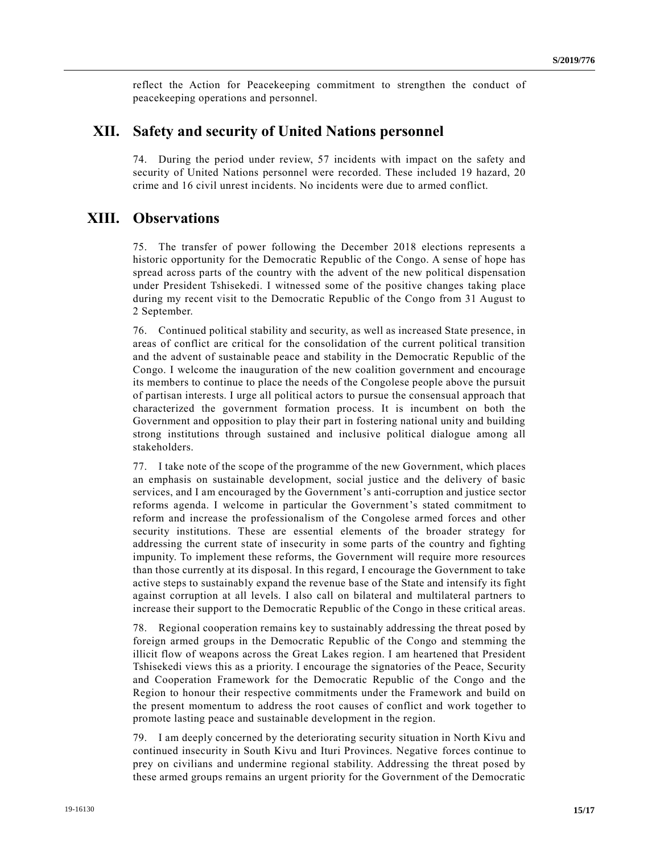reflect the Action for Peacekeeping commitment to strengthen the conduct of peacekeeping operations and personnel.

# **XII. Safety and security of United Nations personnel**

74. During the period under review, 57 incidents with impact on the safety and security of United Nations personnel were recorded. These included 19 hazard, 20 crime and 16 civil unrest incidents. No incidents were due to armed conflict.

## **XIII. Observations**

75. The transfer of power following the December 2018 elections represents a historic opportunity for the Democratic Republic of the Congo. A sense of hope has spread across parts of the country with the advent of the new political dispensation under President Tshisekedi. I witnessed some of the positive changes taking place during my recent visit to the Democratic Republic of the Congo from 31 August to 2 September.

76. Continued political stability and security, as well as increased State presence, in areas of conflict are critical for the consolidation of the current political transition and the advent of sustainable peace and stability in the Democratic Republic of the Congo. I welcome the inauguration of the new coalition government and encourage its members to continue to place the needs of the Congolese people above the pursuit of partisan interests. I urge all political actors to pursue the consensual approach that characterized the government formation process. It is incumbent on both the Government and opposition to play their part in fostering national unity and building strong institutions through sustained and inclusive political dialogue among all stakeholders.

77. I take note of the scope of the programme of the new Government, which places an emphasis on sustainable development, social justice and the delivery of basic services, and I am encouraged by the Government's anti-corruption and justice sector reforms agenda. I welcome in particular the Government's stated commitment to reform and increase the professionalism of the Congolese armed forces and other security institutions. These are essential elements of the broader strategy for addressing the current state of insecurity in some parts of the country and fighting impunity. To implement these reforms, the Government will require more resources than those currently at its disposal. In this regard, I encourage the Government to take active steps to sustainably expand the revenue base of the State and intensify its fight against corruption at all levels. I also call on bilateral and multilateral partners to increase their support to the Democratic Republic of the Congo in these critical areas.

78. Regional cooperation remains key to sustainably addressing the threat posed by foreign armed groups in the Democratic Republic of the Congo and stemming the illicit flow of weapons across the Great Lakes region. I am heartened that President Tshisekedi views this as a priority. I encourage the signatories of the Peace, Security and Cooperation Framework for the Democratic Republic of the Congo and the Region to honour their respective commitments under the Framework and build on the present momentum to address the root causes of conflict and work together to promote lasting peace and sustainable development in the region.

79. I am deeply concerned by the deteriorating security situation in North Kivu and continued insecurity in South Kivu and Ituri Provinces. Negative forces continue to prey on civilians and undermine regional stability. Addressing the threat posed by these armed groups remains an urgent priority for the Government of the Democratic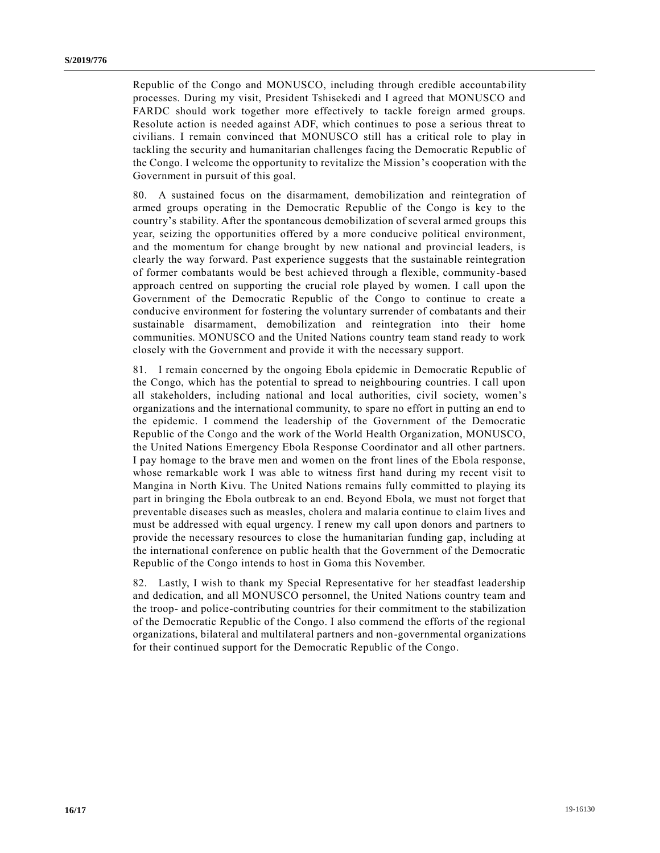Republic of the Congo and MONUSCO, including through credible accountability processes. During my visit, President Tshisekedi and I agreed that MONUSCO and FARDC should work together more effectively to tackle foreign armed groups. Resolute action is needed against ADF, which continues to pose a serious threat to civilians. I remain convinced that MONUSCO still has a critical role to play in tackling the security and humanitarian challenges facing the Democratic Republic of the Congo. I welcome the opportunity to revitalize the Mission's cooperation with the Government in pursuit of this goal.

80. A sustained focus on the disarmament, demobilization and reintegration of armed groups operating in the Democratic Republic of the Congo is key to the country's stability. After the spontaneous demobilization of several armed groups this year, seizing the opportunities offered by a more conducive political environment, and the momentum for change brought by new national and provincial leaders, is clearly the way forward. Past experience suggests that the sustainable reintegration of former combatants would be best achieved through a flexible, community-based approach centred on supporting the crucial role played by women. I call upon the Government of the Democratic Republic of the Congo to continue to create a conducive environment for fostering the voluntary surrender of combatants and their sustainable disarmament, demobilization and reintegration into their home communities. MONUSCO and the United Nations country team stand ready to work closely with the Government and provide it with the necessary support.

81. I remain concerned by the ongoing Ebola epidemic in Democratic Republic of the Congo, which has the potential to spread to neighbouring countries. I call upon all stakeholders, including national and local authorities, civil society, women's organizations and the international community, to spare no effort in putting an end to the epidemic. I commend the leadership of the Government of the Democratic Republic of the Congo and the work of the World Health Organization, MONUSCO, the United Nations Emergency Ebola Response Coordinator and all other partners. I pay homage to the brave men and women on the front lines of the Ebola response, whose remarkable work I was able to witness first hand during my recent visit to Mangina in North Kivu. The United Nations remains fully committed to playing its part in bringing the Ebola outbreak to an end. Beyond Ebola, we must not forget that preventable diseases such as measles, cholera and malaria continue to claim lives and must be addressed with equal urgency. I renew my call upon donors and partners to provide the necessary resources to close the humanitarian funding gap, including at the international conference on public health that the Government of the Democratic Republic of the Congo intends to host in Goma this November.

82. Lastly, I wish to thank my Special Representative for her steadfast leadership and dedication, and all MONUSCO personnel, the United Nations country team and the troop- and police-contributing countries for their commitment to the stabilization of the Democratic Republic of the Congo. I also commend the efforts of the regional organizations, bilateral and multilateral partners and non-governmental organizations for their continued support for the Democratic Republic of the Congo.